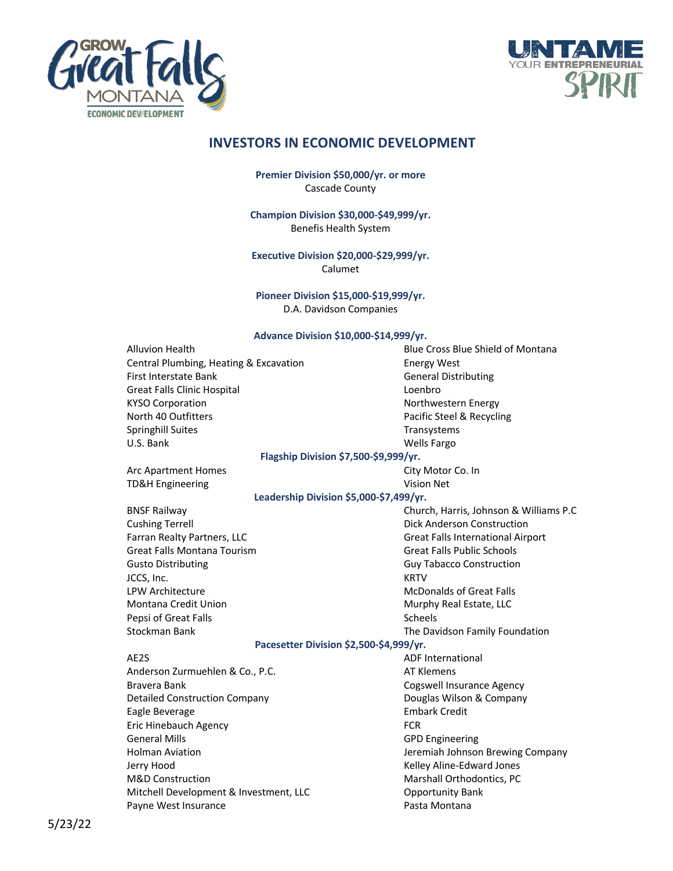



## **INVESTORS IN ECONOMIC DEVELOPMENT**

**Premier Division \$50,000/yr. or more** Cascade County

**Champion Division \$30,000-\$49,999/yr.** Benefis Health System

**Executive Division \$20,000-\$29,999/yr.** Calumet

**Pioneer Division \$15,000-\$19,999/yr.** D.A. Davidson Companies

## **Advance Division \$10,000-\$14,999/yr.**

| Alluvion Health                         | Blue Cross Blue Shield of Montana        |
|-----------------------------------------|------------------------------------------|
| Central Plumbing, Heating & Excavation  | <b>Energy West</b>                       |
| First Interstate Bank                   | <b>General Distributing</b>              |
| <b>Great Falls Clinic Hospital</b>      | Loenbro                                  |
| <b>KYSO Corporation</b>                 | Northwestern Energy                      |
| North 40 Outfitters                     | Pacific Steel & Recycling                |
| Springhill Suites                       | Transystems                              |
| U.S. Bank                               | <b>Wells Fargo</b>                       |
| Flagship Division \$7,500-\$9,999/yr.   |                                          |
| Arc Apartment Homes                     | City Motor Co. In                        |
| <b>TD&amp;H Engineering</b>             | Vision Net                               |
| Leadership Division \$5,000-\$7,499/yr. |                                          |
| <b>BNSF Railway</b>                     | Church, Harris, Johnson & Williams P.C   |
| <b>Cushing Terrell</b>                  | <b>Dick Anderson Construction</b>        |
| Farran Realty Partners, LLC             | <b>Great Falls International Airport</b> |
| Great Falls Montana Tourism             | <b>Great Falls Public Schools</b>        |
| <b>Gusto Distributing</b>               | <b>Guy Tabacco Construction</b>          |
| JCCS, Inc.                              | <b>KRTV</b>                              |
| <b>LPW Architecture</b>                 | <b>McDonalds of Great Falls</b>          |
| Montana Credit Union                    | Murphy Real Estate, LLC                  |
| Pepsi of Great Falls                    | <b>Scheels</b>                           |
| Stockman Bank                           | The Davidson Family Foundation           |
| Pacesetter Division \$2,500-\$4,999/yr. |                                          |
| AE2S                                    | <b>ADF International</b>                 |
| Anderson Zurmuehlen & Co., P.C.         | <b>AT Klemens</b>                        |
| Bravera Bank                            | <b>Cogswell Insurance Agency</b>         |
| <b>Detailed Construction Company</b>    | Douglas Wilson & Company                 |
| Eagle Beverage                          | <b>Embark Credit</b>                     |
| Eric Hinebauch Agency                   | <b>FCR</b>                               |
| <b>General Mills</b>                    | <b>GPD Engineering</b>                   |
| <b>Holman Aviation</b>                  | Jeremiah Johnson Brewing Company         |
| Jerry Hood                              | Kelley Aline-Edward Jones                |
| M&D Construction                        | Marshall Orthodontics, PC                |
| Mitchell Development & Investment, LLC  | <b>Opportunity Bank</b>                  |
| Payne West Insurance                    | Pasta Montana                            |
|                                         |                                          |